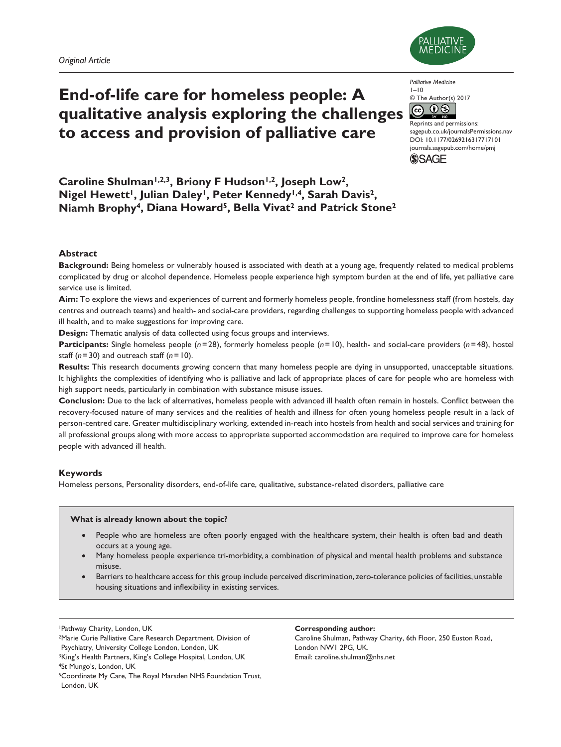# **End-of-life care for homeless people: A qualitative analysis exploring the challenges to access and provision of palliative care**



*Palliative Medicine*  $I-I$ 0

© The Author(s) 2017  $\overline{0}$  $\binom{c}{c}$ 

Reprints and permissions: [sagepub.co.uk/journalsPermissions.nav](https://uk.sagepub.com/en-gb/journals-permissions) DOI: 10.1177/0269216317717101 [journals.sagepub.com/home/pmj](http://journals.sagepub.com/home/pmj) **SSAGE** 

Caroline Shulman<sup>1,2,3</sup>, Briony F Hudson<sup>1,2</sup>, Joseph Low<sup>2</sup>, Nigel Hewett<sup>1</sup>, Julian Daley<sup>1</sup>, Peter Kennedy<sup>1,4</sup>, Sarah Davis<sup>2</sup>, **Niamh Brophy4, Diana Howard5, Bella Vivat2 and Patrick Stone2**

# **Abstract**

**Background:** Being homeless or vulnerably housed is associated with death at a young age, frequently related to medical problems complicated by drug or alcohol dependence. Homeless people experience high symptom burden at the end of life, yet palliative care service use is limited.

**Aim:** To explore the views and experiences of current and formerly homeless people, frontline homelessness staff (from hostels, day centres and outreach teams) and health- and social-care providers, regarding challenges to supporting homeless people with advanced ill health, and to make suggestions for improving care.

**Design:** Thematic analysis of data collected using focus groups and interviews.

**Participants:** Single homeless people (*n*=28), formerly homeless people (*n*=10), health- and social-care providers (*n*=48), hostel staff (*n*=30) and outreach staff (*n*=10).

**Results:** This research documents growing concern that many homeless people are dying in unsupported, unacceptable situations. It highlights the complexities of identifying who is palliative and lack of appropriate places of care for people who are homeless with high support needs, particularly in combination with substance misuse issues.

**Conclusion:** Due to the lack of alternatives, homeless people with advanced ill health often remain in hostels. Conflict between the recovery-focused nature of many services and the realities of health and illness for often young homeless people result in a lack of person-centred care. Greater multidisciplinary working, extended in-reach into hostels from health and social services and training for all professional groups along with more access to appropriate supported accommodation are required to improve care for homeless people with advanced ill health.

# **Keywords**

Homeless persons, Personality disorders, end-of-life care, qualitative, substance-related disorders, palliative care

# **What is already known about the topic?**

- People who are homeless are often poorly engaged with the healthcare system, their health is often bad and death occurs at a young age.
- Many homeless people experience tri-morbidity, a combination of physical and mental health problems and substance misuse.
- Barriers to healthcare access for this group include perceived discrimination, zero-tolerance policies of facilities, unstable housing situations and inflexibility in existing services.

1Pathway Charity, London, UK

2Marie Curie Palliative Care Research Department, Division of Psychiatry, University College London, London, UK <sup>3</sup>King's Health Partners, King's College Hospital, London, UK 4St Mungo's, London, UK 5Coordinate My Care, The Royal Marsden NHS Foundation Trust, London, UK

#### **Corresponding author:**

Caroline Shulman, Pathway Charity, 6th Floor, 250 Euston Road, London NW1 2PG, UK. Email: [caroline.shulman@nhs.net](mailto:caroline.shulman@nhs.net)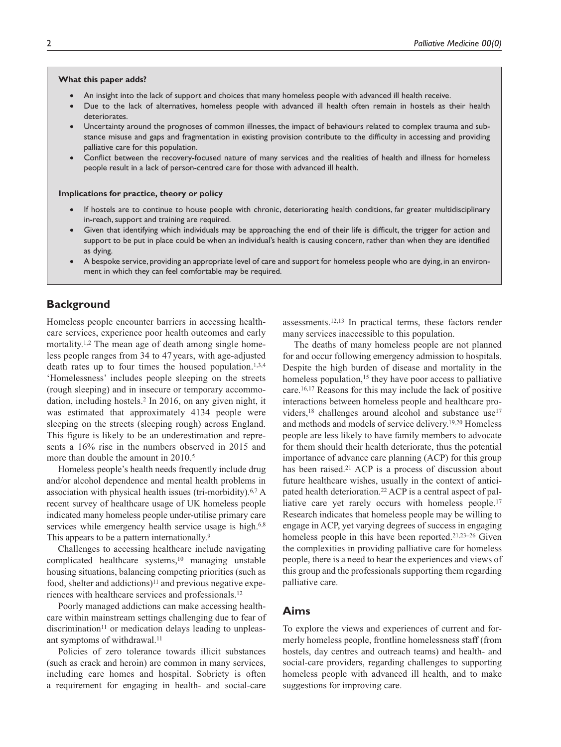#### **What this paper adds?**

- An insight into the lack of support and choices that many homeless people with advanced ill health receive.
- Due to the lack of alternatives, homeless people with advanced ill health often remain in hostels as their health deteriorates.
- Uncertainty around the prognoses of common illnesses, the impact of behaviours related to complex trauma and substance misuse and gaps and fragmentation in existing provision contribute to the difficulty in accessing and providing palliative care for this population.
- Conflict between the recovery-focused nature of many services and the realities of health and illness for homeless people result in a lack of person-centred care for those with advanced ill health.

#### **Implications for practice, theory or policy**

- If hostels are to continue to house people with chronic, deteriorating health conditions, far greater multidisciplinary in-reach, support and training are required.
- Given that identifying which individuals may be approaching the end of their life is difficult, the trigger for action and support to be put in place could be when an individual's health is causing concern, rather than when they are identified as dying.
- A bespoke service, providing an appropriate level of care and support for homeless people who are dying, in an environment in which they can feel comfortable may be required.

# **Background**

Homeless people encounter barriers in accessing healthcare services, experience poor health outcomes and early mortality.<sup>1,2</sup> The mean age of death among single homeless people ranges from 34 to 47 years, with age-adjusted death rates up to four times the housed population.<sup>1,3,4</sup> 'Homelessness' includes people sleeping on the streets (rough sleeping) and in insecure or temporary accommodation, including hostels.2 In 2016, on any given night, it was estimated that approximately 4134 people were sleeping on the streets (sleeping rough) across England. This figure is likely to be an underestimation and represents a 16% rise in the numbers observed in 2015 and more than double the amount in 2010.<sup>5</sup>

Homeless people's health needs frequently include drug and/or alcohol dependence and mental health problems in association with physical health issues (tri-morbidity). $6.7 \text{ A}$ recent survey of healthcare usage of UK homeless people indicated many homeless people under-utilise primary care services while emergency health service usage is high.<sup>6,8</sup> This appears to be a pattern internationally.<sup>9</sup>

Challenges to accessing healthcare include navigating complicated healthcare systems,<sup>10</sup> managing unstable housing situations, balancing competing priorities (such as food, shelter and addictions)<sup>11</sup> and previous negative experiences with healthcare services and professionals.12

Poorly managed addictions can make accessing healthcare within mainstream settings challenging due to fear of discrimination $11$  or medication delays leading to unpleasant symptoms of withdrawal.<sup>11</sup>

Policies of zero tolerance towards illicit substances (such as crack and heroin) are common in many services, including care homes and hospital. Sobriety is often a requirement for engaging in health- and social-care assessments.12,13 In practical terms, these factors render many services inaccessible to this population.

The deaths of many homeless people are not planned for and occur following emergency admission to hospitals. Despite the high burden of disease and mortality in the homeless population,<sup>15</sup> they have poor access to palliative care.16,17 Reasons for this may include the lack of positive interactions between homeless people and healthcare providers,<sup>18</sup> challenges around alcohol and substance use<sup>17</sup> and methods and models of service delivery.19,20 Homeless people are less likely to have family members to advocate for them should their health deteriorate, thus the potential importance of advance care planning (ACP) for this group has been raised.<sup>21</sup> ACP is a process of discussion about future healthcare wishes, usually in the context of anticipated health deterioration.<sup>22</sup> ACP is a central aspect of palliative care yet rarely occurs with homeless people.<sup>17</sup> Research indicates that homeless people may be willing to engage in ACP, yet varying degrees of success in engaging homeless people in this have been reported.21,23–26 Given the complexities in providing palliative care for homeless people, there is a need to hear the experiences and views of this group and the professionals supporting them regarding palliative care.

# **Aims**

To explore the views and experiences of current and formerly homeless people, frontline homelessness staff (from hostels, day centres and outreach teams) and health- and social-care providers, regarding challenges to supporting homeless people with advanced ill health, and to make suggestions for improving care.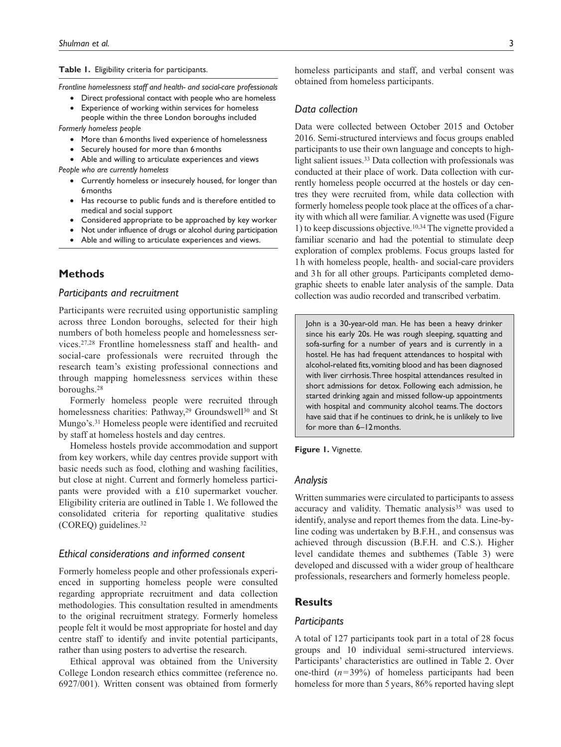#### **Table 1.** Eligibility criteria for participants.

*Frontline homelessness staff and health- and social-care professionals*

- Direct professional contact with people who are homeless
- Experience of working within services for homeless people within the three London boroughs included
- *Formerly homeless people*
	- More than 6months lived experience of homelessness
	- Securely housed for more than 6months
	- Able and willing to articulate experiences and views
- *People who are currently homeless*
	- Currently homeless or insecurely housed, for longer than 6months
	- Has recourse to public funds and is therefore entitled to medical and social support
	- Considered appropriate to be approached by key worker
	- Not under influence of drugs or alcohol during participation
	- Able and willing to articulate experiences and views.

# **Methods**

#### *Participants and recruitment*

Participants were recruited using opportunistic sampling across three London boroughs, selected for their high numbers of both homeless people and homelessness services.27,28 Frontline homelessness staff and health- and social-care professionals were recruited through the research team's existing professional connections and through mapping homelessness services within these boroughs.28

Formerly homeless people were recruited through homelessness charities: Pathway,<sup>29</sup> Groundswell<sup>30</sup> and St Mungo's.31 Homeless people were identified and recruited by staff at homeless hostels and day centres.

Homeless hostels provide accommodation and support from key workers, while day centres provide support with basic needs such as food, clothing and washing facilities, but close at night. Current and formerly homeless participants were provided with a £10 supermarket voucher. Eligibility criteria are outlined in Table 1. We followed the consolidated criteria for reporting qualitative studies (COREQ) guidelines.32

#### *Ethical considerations and informed consent*

Formerly homeless people and other professionals experienced in supporting homeless people were consulted regarding appropriate recruitment and data collection methodologies. This consultation resulted in amendments to the original recruitment strategy. Formerly homeless people felt it would be most appropriate for hostel and day centre staff to identify and invite potential participants, rather than using posters to advertise the research.

Ethical approval was obtained from the University College London research ethics committee (reference no. 6927/001). Written consent was obtained from formerly homeless participants and staff, and verbal consent was obtained from homeless participants.

#### *Data collection*

Data were collected between October 2015 and October 2016. Semi-structured interviews and focus groups enabled participants to use their own language and concepts to highlight salient issues.<sup>33</sup> Data collection with professionals was conducted at their place of work. Data collection with currently homeless people occurred at the hostels or day centres they were recruited from, while data collection with formerly homeless people took place at the offices of a charity with which all were familiar. A vignette was used (Figure 1) to keep discussions objective.10,34 The vignette provided a familiar scenario and had the potential to stimulate deep exploration of complex problems. Focus groups lasted for 1h with homeless people, health- and social-care providers and 3h for all other groups. Participants completed demographic sheets to enable later analysis of the sample. Data collection was audio recorded and transcribed verbatim.

John is a 30-year-old man. He has been a heavy drinker since his early 20s. He was rough sleeping, squatting and sofa-surfing for a number of years and is currently in a hostel. He has had frequent attendances to hospital with alcohol-related fits, vomiting blood and has been diagnosed with liver cirrhosis. Three hospital attendances resulted in short admissions for detox. Following each admission, he started drinking again and missed follow-up appointments with hospital and community alcohol teams. The doctors have said that if he continues to drink, he is unlikely to live for more than 6–12months.

**Figure 1.** Vignette.

### *Analysis*

Written summaries were circulated to participants to assess accuracy and validity. Thematic analysis<sup>35</sup> was used to identify, analyse and report themes from the data. Line-byline coding was undertaken by B.F.H., and consensus was achieved through discussion (B.F.H. and C.S.). Higher level candidate themes and subthemes (Table 3) were developed and discussed with a wider group of healthcare professionals, researchers and formerly homeless people.

# **Results**

#### *Participants*

A total of 127 participants took part in a total of 28 focus groups and 10 individual semi-structured interviews. Participants' characteristics are outlined in Table 2. Over one-third  $(n=39\%)$  of homeless participants had been homeless for more than 5 years, 86% reported having slept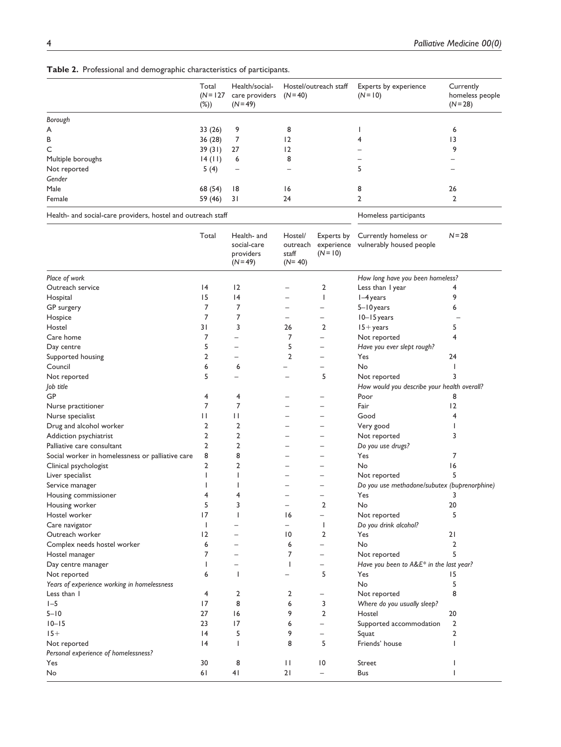|  |  |  |  | Table 2. Professional and demographic characteristics of participants. |  |  |
|--|--|--|--|------------------------------------------------------------------------|--|--|
|--|--|--|--|------------------------------------------------------------------------|--|--|

|                                                              | Total<br>$(N = 127)$<br>$(\%)$ | Health/social-<br>care providers<br>$(N=49)$ | Hostel/outreach staff<br>$(N=40)$ | Experts by experience<br>$(N = 10)$ | Currently<br>homeless people<br>$(N=28)$ |
|--------------------------------------------------------------|--------------------------------|----------------------------------------------|-----------------------------------|-------------------------------------|------------------------------------------|
| Borough                                                      |                                |                                              |                                   |                                     |                                          |
| A                                                            | 33(26)                         | 9                                            | 8                                 |                                     | 6                                        |
| В                                                            | 36(28)                         |                                              | $\overline{2}$                    |                                     | 13                                       |
| C                                                            | 39(31)                         | 27                                           | 2                                 |                                     | 9                                        |
| Multiple boroughs                                            | 14 (11)                        | 6                                            | 8                                 |                                     |                                          |
| Not reported                                                 | 5(4)                           | $\overline{\phantom{m}}$                     |                                   |                                     |                                          |
| Gender                                                       |                                |                                              |                                   |                                     |                                          |
| Male                                                         | 68 (54)                        | 18                                           | 16                                | 8                                   | 26                                       |
| Female                                                       | 59 (46)                        | 31                                           | 24                                | 2                                   | $\mathbf{2}$                             |
| Health- and social-care providers, hostel and outreach staff |                                |                                              | Homeless participants             |                                     |                                          |

|                                                  | Total           | Health- and<br>social-care<br>providers<br>$(N=49)$ | Hostel/<br>outreach<br>staff<br>$(N=40)$ | Experts by<br>$(N = 10)$ | Currently homeless or<br>experience vulnerably housed people | $N = 28$       |
|--------------------------------------------------|-----------------|-----------------------------------------------------|------------------------------------------|--------------------------|--------------------------------------------------------------|----------------|
| Place of work                                    |                 |                                                     |                                          |                          | How long have you been homeless?                             |                |
| Outreach service                                 | 4               | 12                                                  |                                          | 2                        | Less than I year                                             | 4              |
| Hospital                                         | 15              | 4                                                   |                                          | $\mathsf{I}$             | $I-4$ years                                                  | 9              |
| GP surgery                                       | 7               | 7                                                   |                                          | $\overline{\phantom{0}}$ | 5-10 years                                                   | 6              |
| Hospice                                          | $\overline{7}$  | $\overline{7}$                                      | $\overline{\phantom{0}}$                 | $\overline{\phantom{0}}$ | $10 - 15$ years                                              |                |
| Hostel                                           | 31              | 3                                                   | 26                                       | 2                        | $15 + years$                                                 | 5              |
| Care home                                        | 7               | —                                                   | 7                                        | $\overline{\phantom{0}}$ | Not reported                                                 | 4              |
| Day centre                                       | 5               | $\overline{\phantom{0}}$                            | 5                                        | $\overline{\phantom{0}}$ | Have you ever slept rough?                                   |                |
| Supported housing                                | $\overline{2}$  | $\overline{\phantom{0}}$                            | 2                                        | $\overline{\phantom{0}}$ | Yes                                                          | 24             |
| Council                                          | 6               | 6                                                   |                                          |                          | No                                                           |                |
| Not reported                                     | 5               | —                                                   | $\overline{\phantom{0}}$                 | 5                        | Not reported                                                 | 3              |
| Job title                                        |                 |                                                     |                                          |                          | How would you describe your health overall?                  |                |
| GP                                               | 4               | 4                                                   |                                          |                          | Poor                                                         | 8              |
| Nurse practitioner                               | 7               | 7                                                   |                                          | $\overline{\phantom{0}}$ | Fair                                                         | 12             |
| Nurse specialist                                 | П               | П                                                   |                                          |                          | Good                                                         | 4              |
| Drug and alcohol worker                          | 2               | $\overline{2}$                                      | $\overline{\phantom{0}}$                 | $\overline{\phantom{0}}$ | Very good                                                    |                |
| Addiction psychiatrist                           | $\overline{2}$  | $\overline{2}$                                      |                                          | $\overline{\phantom{0}}$ | Not reported                                                 | 3              |
| Palliative care consultant                       | 2               | 2                                                   |                                          | $\overline{\phantom{0}}$ | Do you use drugs?                                            |                |
| Social worker in homelessness or palliative care | 8               | 8                                                   |                                          | $\overline{\phantom{0}}$ | Yes                                                          | 7              |
| Clinical psychologist                            | $\overline{2}$  | 2                                                   |                                          |                          | No                                                           | 16             |
| Liver specialist                                 | 1               | ı                                                   |                                          | $\overline{\phantom{0}}$ | Not reported                                                 | 5              |
| Service manager                                  | -1              | 1                                                   |                                          | $\overline{\phantom{0}}$ | Do you use methadone/subutex (buprenorphine)                 |                |
| Housing commissioner                             | 4               | 4                                                   | $\overline{\phantom{0}}$                 | $\overline{\phantom{0}}$ | Yes                                                          | 3              |
| Housing worker                                   | 5               | 3                                                   |                                          | $\overline{2}$           | No                                                           | 20             |
| Hostel worker                                    | 17              | $\mathbf{I}$                                        | 16                                       | $\overline{\phantom{0}}$ | Not reported                                                 | 5              |
| Care navigator                                   | $\mathbf{I}$    |                                                     | $\overline{\phantom{0}}$                 | J.                       | Do you drink alcohol?                                        |                |
| Outreach worker                                  | 12              | ۳                                                   | 10                                       | $\overline{2}$           | Yes                                                          | 21             |
| Complex needs hostel worker                      | 6               | ۳                                                   | 6                                        | $\overline{\phantom{0}}$ | No                                                           | 2              |
| Hostel manager                                   | 7               |                                                     | 7                                        | $\equiv$                 | Not reported                                                 | 5              |
| Day centre manager                               | ı               | $\overline{a}$                                      | T                                        | $\overline{\phantom{0}}$ | Have you been to $A\&E^*$ in the last year?                  |                |
| Not reported                                     | 6               | $\mathbf{I}$                                        |                                          | 5                        | Yes                                                          | 15             |
| Years of experience working in homelessness      |                 |                                                     |                                          |                          | No                                                           | 5              |
| Less than I                                      | 4               | 2                                                   | 2                                        | $\overline{\phantom{0}}$ | Not reported                                                 | 8              |
| $I - 5$                                          | 17              | 8                                                   | 6                                        | 3                        | Where do you usually sleep?                                  |                |
| $5 - 10$                                         | 27              | 16                                                  | 9                                        | $\overline{2}$           | Hostel                                                       | 20             |
| $10 - 15$                                        | 23              | 17                                                  | 6                                        | $\overline{\phantom{0}}$ | Supported accommodation                                      | $\overline{2}$ |
| $15+$                                            | $\overline{14}$ | 5                                                   | 9                                        | $\overline{\phantom{0}}$ | Squat                                                        | 2              |
| Not reported                                     | 4               | $\mathbf{I}$                                        | 8                                        | 5                        | Friends' house                                               | ı              |
| Personal experience of homelessness?             |                 |                                                     |                                          |                          |                                                              |                |
| Yes                                              | 30              | 8                                                   | П                                        | $\overline{0}$           | Street                                                       |                |
| No                                               | 61              | 4 <sub>1</sub>                                      | 21                                       | $\overline{\phantom{0}}$ | Bus                                                          | ı              |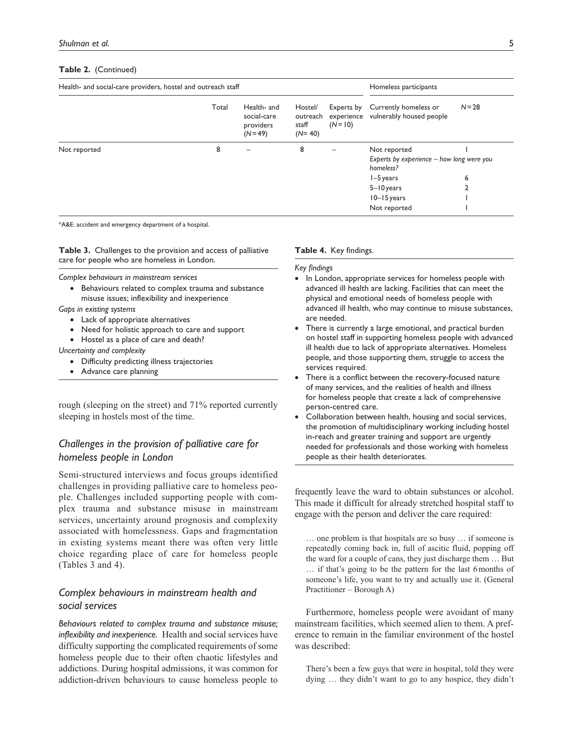#### **Table 2.** (Continued)

| Health- and social-care providers, hostel and outreach staff |       |                                                       |                                          |                          | Homeless participants                                        |          |  |
|--------------------------------------------------------------|-------|-------------------------------------------------------|------------------------------------------|--------------------------|--------------------------------------------------------------|----------|--|
|                                                              | Total | Health- and<br>social-care<br>providers<br>$(N = 49)$ | Hostel/<br>outreach<br>staff<br>$(N=40)$ | Experts by<br>$(N = 10)$ | Currently homeless or<br>experience vulnerably housed people | $N = 28$ |  |
| Not reported                                                 | 8     |                                                       | 8                                        |                          | Not reported                                                 |          |  |
|                                                              |       |                                                       |                                          |                          | Experts by experience - how long were you<br>homeless?       |          |  |
|                                                              |       |                                                       |                                          |                          | $I-5$ years                                                  | 6        |  |
|                                                              |       |                                                       |                                          |                          | $5 - 10$ years                                               |          |  |
|                                                              |       |                                                       |                                          |                          | $10 - 15$ years                                              |          |  |
|                                                              |       |                                                       |                                          |                          | Not reported                                                 |          |  |

\*A&E: accident and emergency department of a hospital.

**Table 3.** Challenges to the provision and access of palliative care for people who are homeless in London.

*Complex behaviours in mainstream services*

- Behaviours related to complex trauma and substance misuse issues; inflexibility and inexperience
- *Gaps in existing systems*
	- Lack of appropriate alternatives
	- Need for holistic approach to care and support
	- Hostel as a place of care and death?

*Uncertainty and complexity*

- Difficulty predicting illness trajectories
- Advance care planning

rough (sleeping on the street) and 71% reported currently sleeping in hostels most of the time.

# *Challenges in the provision of palliative care for homeless people in London*

Semi-structured interviews and focus groups identified challenges in providing palliative care to homeless people. Challenges included supporting people with complex trauma and substance misuse in mainstream services, uncertainty around prognosis and complexity associated with homelessness. Gaps and fragmentation in existing systems meant there was often very little choice regarding place of care for homeless people (Tables 3 and 4).

# *Complex behaviours in mainstream health and social services*

*Behaviours related to complex trauma and substance misuse; inflexibility and inexperience.* Health and social services have difficulty supporting the complicated requirements of some homeless people due to their often chaotic lifestyles and addictions. During hospital admissions, it was common for addiction-driven behaviours to cause homeless people to

#### **Table 4.** Key findings.

#### *Key findings*

- In London, appropriate services for homeless people with advanced ill health are lacking. Facilities that can meet the physical and emotional needs of homeless people with advanced ill health, who may continue to misuse substances, are needed.
- There is currently a large emotional, and practical burden on hostel staff in supporting homeless people with advanced ill health due to lack of appropriate alternatives. Homeless people, and those supporting them, struggle to access the services required.
- There is a conflict between the recovery-focused nature of many services, and the realities of health and illness for homeless people that create a lack of comprehensive person-centred care.
- Collaboration between health, housing and social services, the promotion of multidisciplinary working including hostel in-reach and greater training and support are urgently needed for professionals and those working with homeless people as their health deteriorates.

frequently leave the ward to obtain substances or alcohol. This made it difficult for already stretched hospital staff to engage with the person and deliver the care required:

… one problem is that hospitals are so busy … if someone is repeatedly coming back in, full of ascitic fluid, popping off the ward for a couple of cans, they just discharge them … But … if that's going to be the pattern for the last 6months of someone's life, you want to try and actually use it. (General Practitioner – Borough A)

Furthermore, homeless people were avoidant of many mainstream facilities, which seemed alien to them. A preference to remain in the familiar environment of the hostel was described:

There's been a few guys that were in hospital, told they were dying … they didn't want to go to any hospice, they didn't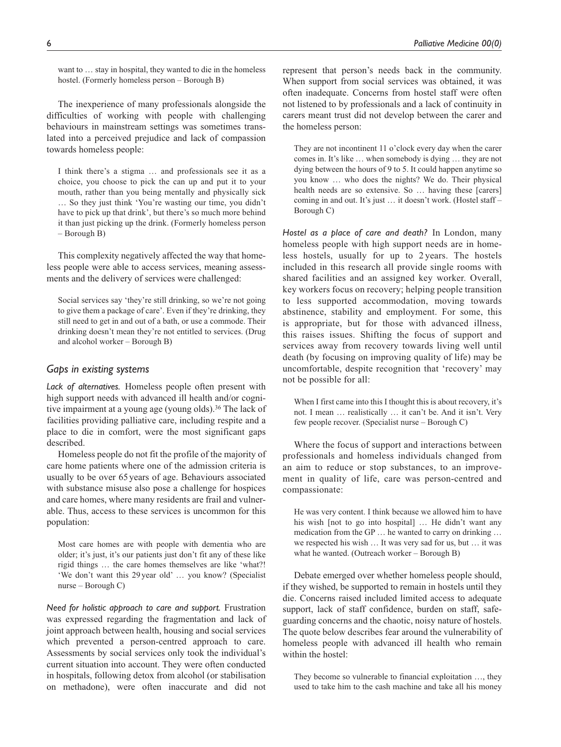want to … stay in hospital, they wanted to die in the homeless hostel. (Formerly homeless person – Borough B)

The inexperience of many professionals alongside the difficulties of working with people with challenging behaviours in mainstream settings was sometimes translated into a perceived prejudice and lack of compassion towards homeless people:

I think there's a stigma … and professionals see it as a choice, you choose to pick the can up and put it to your mouth, rather than you being mentally and physically sick … So they just think 'You're wasting our time, you didn't have to pick up that drink', but there's so much more behind it than just picking up the drink. (Formerly homeless person – Borough B)

This complexity negatively affected the way that homeless people were able to access services, meaning assessments and the delivery of services were challenged:

Social services say 'they're still drinking, so we're not going to give them a package of care'. Even if they're drinking, they still need to get in and out of a bath, or use a commode. Their drinking doesn't mean they're not entitled to services. (Drug and alcohol worker – Borough B)

# *Gaps in existing systems*

*Lack of alternatives.* Homeless people often present with high support needs with advanced ill health and/or cognitive impairment at a young age (young olds).<sup>36</sup> The lack of facilities providing palliative care, including respite and a place to die in comfort, were the most significant gaps described.

Homeless people do not fit the profile of the majority of care home patients where one of the admission criteria is usually to be over 65 years of age. Behaviours associated with substance misuse also pose a challenge for hospices and care homes, where many residents are frail and vulnerable. Thus, access to these services is uncommon for this population:

Most care homes are with people with dementia who are older; it's just, it's our patients just don't fit any of these like rigid things … the care homes themselves are like 'what?! 'We don't want this 29year old' … you know? (Specialist nurse – Borough C)

*Need for holistic approach to care and support.* Frustration was expressed regarding the fragmentation and lack of joint approach between health, housing and social services which prevented a person-centred approach to care. Assessments by social services only took the individual's current situation into account. They were often conducted in hospitals, following detox from alcohol (or stabilisation on methadone), were often inaccurate and did not

represent that person's needs back in the community. When support from social services was obtained, it was often inadequate. Concerns from hostel staff were often not listened to by professionals and a lack of continuity in carers meant trust did not develop between the carer and the homeless person:

They are not incontinent 11 o'clock every day when the carer comes in. It's like … when somebody is dying … they are not dying between the hours of 9 to 5. It could happen anytime so you know … who does the nights? We do. Their physical health needs are so extensive. So … having these [carers] coming in and out. It's just … it doesn't work. (Hostel staff – Borough C)

*Hostel as a place of care and death?* In London, many homeless people with high support needs are in homeless hostels, usually for up to 2 years. The hostels included in this research all provide single rooms with shared facilities and an assigned key worker. Overall, key workers focus on recovery; helping people transition to less supported accommodation, moving towards abstinence, stability and employment. For some, this is appropriate, but for those with advanced illness, this raises issues. Shifting the focus of support and services away from recovery towards living well until death (by focusing on improving quality of life) may be uncomfortable, despite recognition that 'recovery' may not be possible for all:

When I first came into this I thought this is about recovery, it's not. I mean … realistically … it can't be. And it isn't. Very few people recover. (Specialist nurse – Borough C)

Where the focus of support and interactions between professionals and homeless individuals changed from an aim to reduce or stop substances, to an improvement in quality of life, care was person-centred and compassionate:

He was very content. I think because we allowed him to have his wish [not to go into hospital] ... He didn't want any medication from the GP … he wanted to carry on drinking … we respected his wish … It was very sad for us, but … it was what he wanted. (Outreach worker – Borough B)

Debate emerged over whether homeless people should, if they wished, be supported to remain in hostels until they die. Concerns raised included limited access to adequate support, lack of staff confidence, burden on staff, safeguarding concerns and the chaotic, noisy nature of hostels. The quote below describes fear around the vulnerability of homeless people with advanced ill health who remain within the hostel:

They become so vulnerable to financial exploitation …, they used to take him to the cash machine and take all his money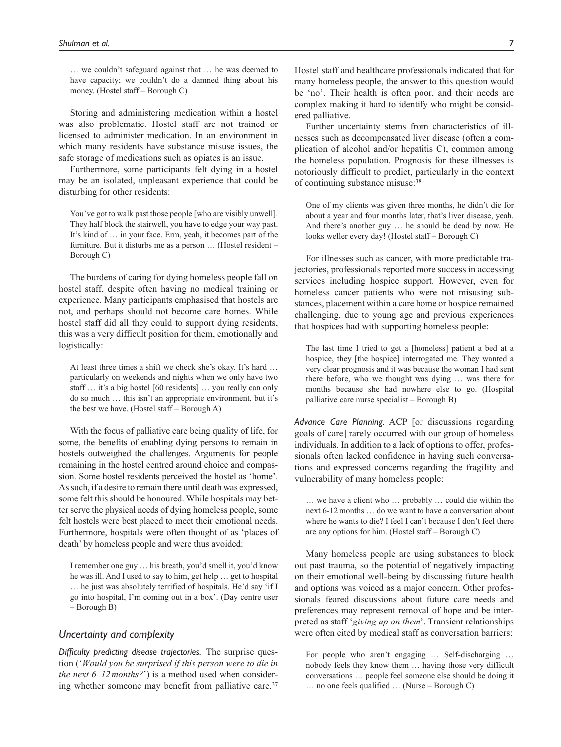… we couldn't safeguard against that … he was deemed to have capacity; we couldn't do a damned thing about his money. (Hostel staff – Borough C)

Storing and administering medication within a hostel was also problematic. Hostel staff are not trained or licensed to administer medication. In an environment in which many residents have substance misuse issues, the safe storage of medications such as opiates is an issue.

Furthermore, some participants felt dying in a hostel may be an isolated, unpleasant experience that could be disturbing for other residents:

You've got to walk past those people [who are visibly unwell]. They half block the stairwell, you have to edge your way past. It's kind of … in your face. Erm, yeah, it becomes part of the furniture. But it disturbs me as a person … (Hostel resident – Borough C)

The burdens of caring for dying homeless people fall on hostel staff, despite often having no medical training or experience. Many participants emphasised that hostels are not, and perhaps should not become care homes. While hostel staff did all they could to support dying residents, this was a very difficult position for them, emotionally and logistically:

At least three times a shift we check she's okay. It's hard … particularly on weekends and nights when we only have two staff … it's a big hostel [60 residents] … you really can only do so much … this isn't an appropriate environment, but it's the best we have. (Hostel staff – Borough A)

With the focus of palliative care being quality of life, for some, the benefits of enabling dying persons to remain in hostels outweighed the challenges. Arguments for people remaining in the hostel centred around choice and compassion. Some hostel residents perceived the hostel as 'home'. As such, if a desire to remain there until death was expressed, some felt this should be honoured. While hospitals may better serve the physical needs of dying homeless people, some felt hostels were best placed to meet their emotional needs. Furthermore, hospitals were often thought of as 'places of death' by homeless people and were thus avoided:

I remember one guy … his breath, you'd smell it, you'd know he was ill. And I used to say to him, get help … get to hospital … he just was absolutely terrified of hospitals. He'd say 'if I go into hospital, I'm coming out in a box'. (Day centre user – Borough B)

# *Uncertainty and complexity*

*Difficulty predicting disease trajectories.* The surprise question ('*Would you be surprised if this person were to die in the next 6–12months?*') is a method used when considering whether someone may benefit from palliative care.<sup>37</sup> Hostel staff and healthcare professionals indicated that for many homeless people, the answer to this question would be 'no'. Their health is often poor, and their needs are complex making it hard to identify who might be considered palliative.

Further uncertainty stems from characteristics of illnesses such as decompensated liver disease (often a complication of alcohol and/or hepatitis C), common among the homeless population. Prognosis for these illnesses is notoriously difficult to predict, particularly in the context of continuing substance misuse:38

One of my clients was given three months, he didn't die for about a year and four months later, that's liver disease, yeah. And there's another guy … he should be dead by now. He looks weller every day! (Hostel staff – Borough C)

For illnesses such as cancer, with more predictable trajectories, professionals reported more success in accessing services including hospice support. However, even for homeless cancer patients who were not misusing substances, placement within a care home or hospice remained challenging, due to young age and previous experiences that hospices had with supporting homeless people:

The last time I tried to get a [homeless] patient a bed at a hospice, they [the hospice] interrogated me. They wanted a very clear prognosis and it was because the woman I had sent there before, who we thought was dying … was there for months because she had nowhere else to go. (Hospital palliative care nurse specialist – Borough B)

*Advance Care Planning.* ACP [or discussions regarding goals of care] rarely occurred with our group of homeless individuals. In addition to a lack of options to offer, professionals often lacked confidence in having such conversations and expressed concerns regarding the fragility and vulnerability of many homeless people:

… we have a client who … probably … could die within the next 6-12months … do we want to have a conversation about where he wants to die? I feel I can't because I don't feel there are any options for him. (Hostel staff – Borough C)

Many homeless people are using substances to block out past trauma, so the potential of negatively impacting on their emotional well-being by discussing future health and options was voiced as a major concern. Other professionals feared discussions about future care needs and preferences may represent removal of hope and be interpreted as staff '*giving up on them*'. Transient relationships were often cited by medical staff as conversation barriers:

For people who aren't engaging … Self-discharging … nobody feels they know them … having those very difficult conversations … people feel someone else should be doing it … no one feels qualified … (Nurse – Borough C)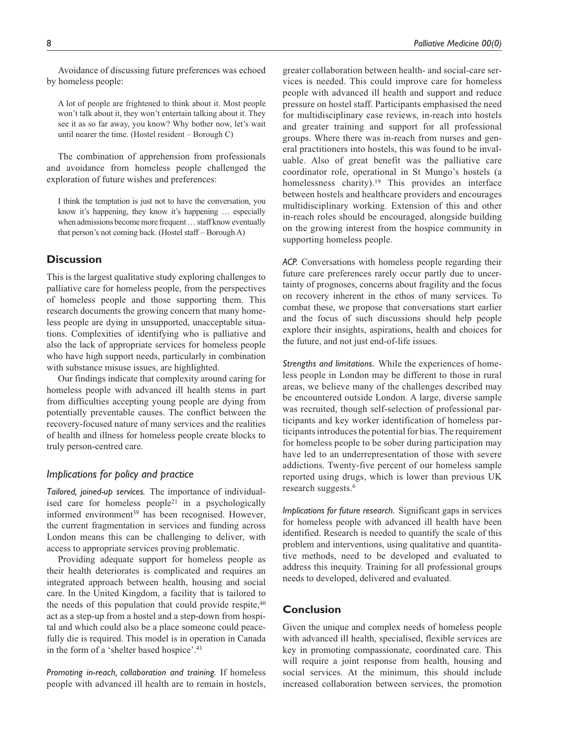Avoidance of discussing future preferences was echoed by homeless people:

A lot of people are frightened to think about it. Most people won't talk about it, they won't entertain talking about it. They see it as so far away, you know? Why bother now, let's wait until nearer the time. (Hostel resident – Borough C)

The combination of apprehension from professionals and avoidance from homeless people challenged the exploration of future wishes and preferences:

I think the temptation is just not to have the conversation, you know it's happening, they know it's happening … especially when admissions become more frequent … staff know eventually that person's not coming back. (Hostel staff – Borough A)

# **Discussion**

This is the largest qualitative study exploring challenges to palliative care for homeless people, from the perspectives of homeless people and those supporting them. This research documents the growing concern that many homeless people are dying in unsupported, unacceptable situations. Complexities of identifying who is palliative and also the lack of appropriate services for homeless people who have high support needs, particularly in combination with substance misuse issues, are highlighted.

Our findings indicate that complexity around caring for homeless people with advanced ill health stems in part from difficulties accepting young people are dying from potentially preventable causes. The conflict between the recovery-focused nature of many services and the realities of health and illness for homeless people create blocks to truly person-centred care.

# *Implications for policy and practice*

*Tailored, joined-up services.* The importance of individualised care for homeless people<sup>21</sup> in a psychologically informed environment<sup>39</sup> has been recognised. However, the current fragmentation in services and funding across London means this can be challenging to deliver, with access to appropriate services proving problematic.

Providing adequate support for homeless people as their health deteriorates is complicated and requires an integrated approach between health, housing and social care. In the United Kingdom, a facility that is tailored to the needs of this population that could provide respite, $40$ act as a step-up from a hostel and a step-down from hospital and which could also be a place someone could peacefully die is required. This model is in operation in Canada in the form of a 'shelter based hospice'.41

*Promoting in-reach, collaboration and training.* If homeless people with advanced ill health are to remain in hostels,

greater collaboration between health- and social-care services is needed. This could improve care for homeless people with advanced ill health and support and reduce pressure on hostel staff. Participants emphasised the need for multidisciplinary case reviews, in-reach into hostels and greater training and support for all professional groups. Where there was in-reach from nurses and general practitioners into hostels, this was found to be invaluable. Also of great benefit was the palliative care coordinator role, operational in St Mungo's hostels (a homelessness charity).<sup>19</sup> This provides an interface between hostels and healthcare providers and encourages multidisciplinary working. Extension of this and other in-reach roles should be encouraged, alongside building on the growing interest from the hospice community in supporting homeless people.

*ACP.* Conversations with homeless people regarding their future care preferences rarely occur partly due to uncertainty of prognoses, concerns about fragility and the focus on recovery inherent in the ethos of many services. To combat these, we propose that conversations start earlier and the focus of such discussions should help people explore their insights, aspirations, health and choices for the future, and not just end-of-life issues.

*Strengths and limitations.* While the experiences of homeless people in London may be different to those in rural areas, we believe many of the challenges described may be encountered outside London. A large, diverse sample was recruited, though self-selection of professional participants and key worker identification of homeless participants introduces the potential for bias. The requirement for homeless people to be sober during participation may have led to an underrepresentation of those with severe addictions. Twenty-five percent of our homeless sample reported using drugs, which is lower than previous UK research suggests.6

*Implications for future research.* Significant gaps in services for homeless people with advanced ill health have been identified. Research is needed to quantify the scale of this problem and interventions, using qualitative and quantitative methods, need to be developed and evaluated to address this inequity. Training for all professional groups needs to developed, delivered and evaluated.

# **Conclusion**

Given the unique and complex needs of homeless people with advanced ill health, specialised, flexible services are key in promoting compassionate, coordinated care. This will require a joint response from health, housing and social services. At the minimum, this should include increased collaboration between services, the promotion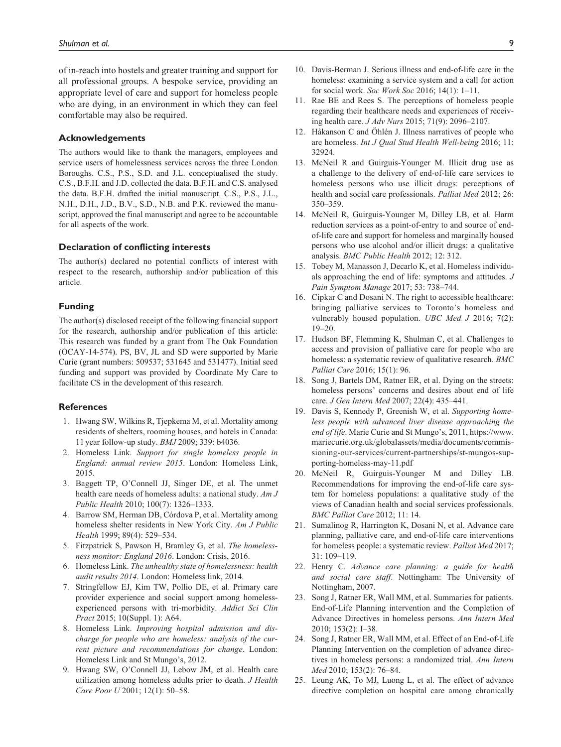of in-reach into hostels and greater training and support for all professional groups. A bespoke service, providing an appropriate level of care and support for homeless people who are dying, in an environment in which they can feel comfortable may also be required.

#### **Acknowledgements**

The authors would like to thank the managers, employees and service users of homelessness services across the three London Boroughs. C.S., P.S., S.D. and J.L. conceptualised the study. C.S., B.F.H. and J.D. collected the data. B.F.H. and C.S. analysed the data. B.F.H. drafted the initial manuscript. C.S., P.S., J.L., N.H., D.H., J.D., B.V., S.D., N.B. and P.K. reviewed the manuscript, approved the final manuscript and agree to be accountable for all aspects of the work.

#### **Declaration of conflicting interests**

The author(s) declared no potential conflicts of interest with respect to the research, authorship and/or publication of this article.

#### **Funding**

The author(s) disclosed receipt of the following financial support for the research, authorship and/or publication of this article: This research was funded by a grant from The Oak Foundation (OCAY-14-574). PS, BV, JL and SD were supported by Marie Curie (grant numbers: 509537; 531645 and 531477). Initial seed funding and support was provided by Coordinate My Care to facilitate CS in the development of this research.

#### **References**

- 1. Hwang SW, Wilkins R, Tjepkema M, et al. Mortality among residents of shelters, rooming houses, and hotels in Canada: 11 year follow-up study. *BMJ* 2009; 339: b4036.
- 2. Homeless Link. *Support for single homeless people in England: annual review 2015*. London: Homeless Link, 2015.
- 3. Baggett TP, O'Connell JJ, Singer DE, et al. The unmet health care needs of homeless adults: a national study. *Am J Public Health* 2010; 100(7): 1326–1333.
- 4. Barrow SM, Herman DB, Córdova P, et al. Mortality among homeless shelter residents in New York City. *Am J Public Health* 1999; 89(4): 529–534.
- 5. Fitzpatrick S, Pawson H, Bramley G, et al. *The homelessness monitor: England 2016*. London: Crisis, 2016.
- 6. Homeless Link. *The unhealthy state of homelessness: health audit results 2014*. London: Homeless link, 2014.
- 7. Stringfellow EJ, Kim TW, Pollio DE, et al. Primary care provider experience and social support among homelessexperienced persons with tri-morbidity. *Addict Sci Clin Pract* 2015; 10(Suppl. 1): A64.
- 8. Homeless Link. *Improving hospital admission and discharge for people who are homeless: analysis of the current picture and recommendations for change*. London: Homeless Link and St Mungo's, 2012.
- 9. Hwang SW, O'Connell JJ, Lebow JM, et al. Health care utilization among homeless adults prior to death. *J Health Care Poor U* 2001; 12(1): 50–58.
- 10. Davis-Berman J. Serious illness and end-of-life care in the homeless: examining a service system and a call for action for social work. *Soc Work Soc* 2016; 14(1): 1–11.
- 11. Rae BE and Rees S. The perceptions of homeless people regarding their healthcare needs and experiences of receiving health care. *J Adv Nurs* 2015; 71(9): 2096–2107.
- 12. Håkanson C and Öhlén J. Illness narratives of people who are homeless. *Int J Qual Stud Health Well-being* 2016; 11: 32924.
- 13. McNeil R and Guirguis-Younger M. Illicit drug use as a challenge to the delivery of end-of-life care services to homeless persons who use illicit drugs: perceptions of health and social care professionals. *Palliat Med* 2012; 26: 350–359.
- 14. McNeil R, Guirguis-Younger M, Dilley LB, et al. Harm reduction services as a point-of-entry to and source of endof-life care and support for homeless and marginally housed persons who use alcohol and/or illicit drugs: a qualitative analysis. *BMC Public Health* 2012; 12: 312.
- 15. Tobey M, Manasson J, Decarlo K, et al. Homeless individuals approaching the end of life: symptoms and attitudes. *J Pain Symptom Manage* 2017; 53: 738–744.
- 16. Cipkar C and Dosani N. The right to accessible healthcare: bringing palliative services to Toronto's homeless and vulnerably housed population. *UBC Med J* 2016; 7(2):  $19 - 20.$
- 17. Hudson BF, Flemming K, Shulman C, et al. Challenges to access and provision of palliative care for people who are homeless: a systematic review of qualitative research. *BMC Palliat Care* 2016; 15(1): 96.
- 18. Song J, Bartels DM, Ratner ER, et al. Dying on the streets: homeless persons' concerns and desires about end of life care. *J Gen Intern Med* 2007; 22(4): 435–441.
- 19. Davis S, Kennedy P, Greenish W, et al. *Supporting homeless people with advanced liver disease approaching the end of life*. Marie Curie and St Mungo's, 2011, [https://www.](https://www.mariecurie.org.uk/globalassets/media/documents/commissioning-our-services/current-partnerships/st-mungos-supporting-homeless-may-11.pdf) [mariecurie.org.uk/globalassets/media/documents/commis](https://www.mariecurie.org.uk/globalassets/media/documents/commissioning-our-services/current-partnerships/st-mungos-supporting-homeless-may-11.pdf)[sioning-our-services/current-partnerships/st-mungos-sup](https://www.mariecurie.org.uk/globalassets/media/documents/commissioning-our-services/current-partnerships/st-mungos-supporting-homeless-may-11.pdf)[porting-homeless-may-11.pdf](https://www.mariecurie.org.uk/globalassets/media/documents/commissioning-our-services/current-partnerships/st-mungos-supporting-homeless-may-11.pdf)
- 20. McNeil R, Guirguis-Younger M and Dilley LB. Recommendations for improving the end-of-life care system for homeless populations: a qualitative study of the views of Canadian health and social services professionals. *BMC Palliat Care* 2012; 11: 14.
- 21. Sumalinog R, Harrington K, Dosani N, et al. Advance care planning, palliative care, and end-of-life care interventions for homeless people: a systematic review. *Palliat Med* 2017; 31: 109–119.
- 22. Henry C. *Advance care planning: a guide for health and social care staff*. Nottingham: The University of Nottingham, 2007.
- 23. Song J, Ratner ER, Wall MM, et al. Summaries for patients. End-of-Life Planning intervention and the Completion of Advance Directives in homeless persons. *Ann Intern Med* 2010; 153(2): I–38.
- 24. Song J, Ratner ER, Wall MM, et al. Effect of an End-of-Life Planning Intervention on the completion of advance directives in homeless persons: a randomized trial. *Ann Intern Med* 2010; 153(2): 76–84.
- 25. Leung AK, To MJ, Luong L, et al. The effect of advance directive completion on hospital care among chronically